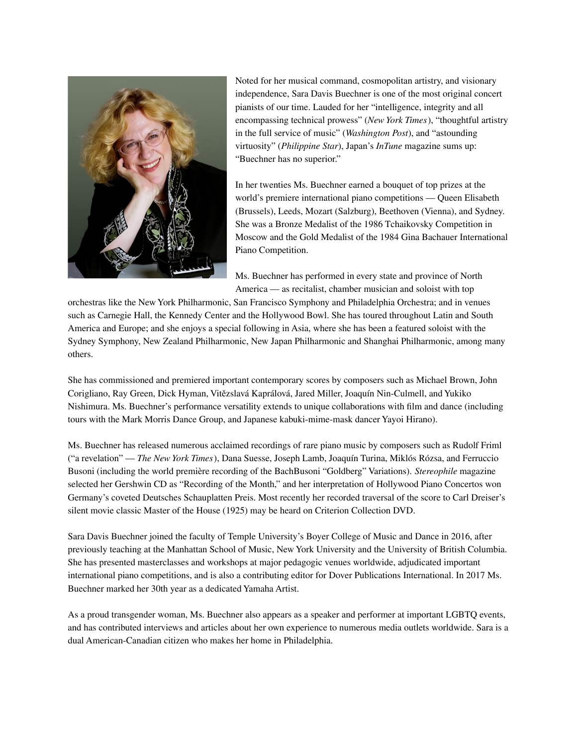

Noted for her musical command, cosmopolitan artistry, and visionary independence, Sara Davis Buechner is one of the most original concert pianists of our time. Lauded for her "intelligence, integrity and all encompassing technical prowess" (*New York Times*), "thoughtful artistry in the full service of music" (*Washington Post*), and "astounding virtuosity" (*Philippine Star*), Japan's *InTune* magazine sums up: "Buechner has no superior."

In her twenties Ms. Buechner earned a bouquet of top prizes at the world's premiere international piano competitions — Queen Elisabeth (Brussels), Leeds, Mozart (Salzburg), Beethoven (Vienna), and Sydney. She was a Bronze Medalist of the 1986 Tchaikovsky Competition in Moscow and the Gold Medalist of the 1984 Gina Bachauer International Piano Competition.

Ms. Buechner has performed in every state and province of North America — as recitalist, chamber musician and soloist with top

orchestras like the New York Philharmonic, San Francisco Symphony and Philadelphia Orchestra; and in venues such as Carnegie Hall, the Kennedy Center and the Hollywood Bowl. She has toured throughout Latin and South America and Europe; and she enjoys a special following in Asia, where she has been a featured soloist with the Sydney Symphony, New Zealand Philharmonic, New Japan Philharmonic and Shanghai Philharmonic, among many others.

She has commissioned and premiered important contemporary scores by composers such as Michael Brown, John Corigliano, Ray Green, Dick Hyman, Vitězslavá Kaprálová, Jared Miller, Joaquín Nin-Culmell, and Yukiko Nishimura. Ms. Buechner's performance versatility extends to unique collaborations with film and dance (including tours with the Mark Morris Dance Group, and Japanese kabuki-mime-mask dancer Yayoi Hirano).

Ms. Buechner has released numerous acclaimed recordings of rare piano music by composers such as Rudolf Friml ("a revelation" — *The New York Times*), Dana Suesse, Joseph Lamb, Joaquín Turina, Miklós Rózsa, and Ferruccio Busoni (including the world première recording of the BachBusoni "Goldberg" Variations). *Stereophile* magazine selected her Gershwin CD as "Recording of the Month," and her interpretation of Hollywood Piano Concertos won Germany's coveted Deutsches Schauplatten Preis. Most recently her recorded traversal of the score to Carl Dreiser's silent movie classic Master of the House (1925) may be heard on Criterion Collection DVD.

Sara Davis Buechner joined the faculty of Temple University's Boyer College of Music and Dance in 2016, after previously teaching at the Manhattan School of Music, New York University and the University of British Columbia. She has presented masterclasses and workshops at major pedagogic venues worldwide, adjudicated important international piano competitions, and is also a contributing editor for Dover Publications International. In 2017 Ms. Buechner marked her 30th year as a dedicated Yamaha Artist.

As a proud transgender woman, Ms. Buechner also appears as a speaker and performer at important LGBTQ events, and has contributed interviews and articles about her own experience to numerous media outlets worldwide. Sara is a dual American-Canadian citizen who makes her home in Philadelphia.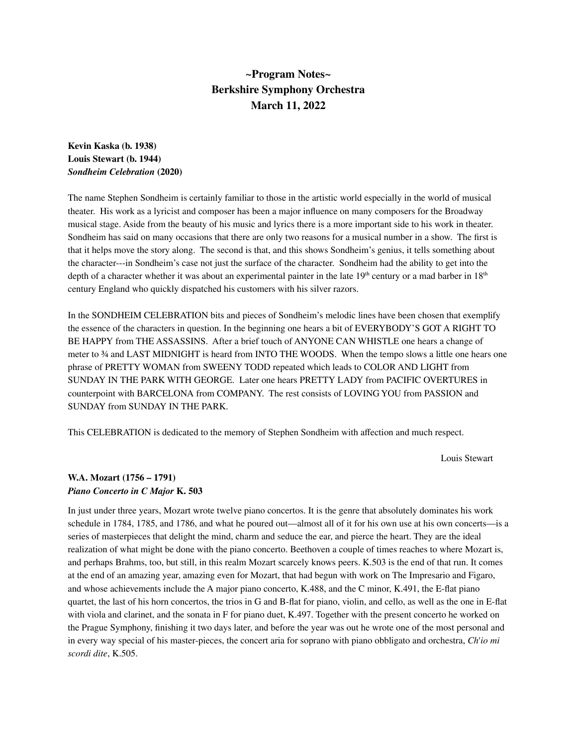# **~Program Notes~ Berkshire Symphony Orchestra March 11, 2022**

# **Kevin Kaska (b. 1938) Louis Stewart (b. 1944)** *Sondheim Celebration* **(2020)**

The name Stephen Sondheim is certainly familiar to those in the artistic world especially in the world of musical theater. His work as a lyricist and composer has been a major influence on many composers for the Broadway musical stage. Aside from the beauty of his music and lyrics there is a more important side to his work in theater. Sondheim has said on many occasions that there are only two reasons for a musical number in a show. The first is that it helps move the story along. The second is that, and this shows Sondheim's genius, it tells something about the character---in Sondheim's case not just the surface of the character. Sondheim had the ability to get into the depth of a character whether it was about an experimental painter in the late  $19^{\text{th}}$  century or a mad barber in  $18^{\text{th}}$ century England who quickly dispatched his customers with his silver razors.

In the SONDHEIM CELEBRATION bits and pieces of Sondheim's melodic lines have been chosen that exemplify the essence of the characters in question. In the beginning one hears a bit of EVERYBODY'S GOT A RIGHT TO BE HAPPY from THE ASSASSINS. After a brief touch of ANYONE CAN WHISTLE one hears a change of meter to ¾ and LAST MIDNIGHT is heard from INTO THE WOODS. When the tempo slows a little one hears one phrase of PRETTY WOMAN from SWEENY TODD repeated which leads to COLOR AND LIGHT from SUNDAY IN THE PARK WITH GEORGE. Later one hears PRETTY LADY from PACIFIC OVERTURES in counterpoint with BARCELONA from COMPANY. The rest consists of LOVING YOU from PASSION and SUNDAY from SUNDAY IN THE PARK.

This CELEBRATION is dedicated to the memory of Stephen Sondheim with affection and much respect.

Louis Stewart

#### **W.A. Mozart (1756 – 1791)** *Piano Concerto in C Major* **K. 503**

In just under three years, Mozart wrote twelve piano concertos. It is the genre that absolutely dominates his work schedule in 1784, 1785, and 1786, and what he poured out—almost all of it for his own use at his own concerts—is a series of masterpieces that delight the mind, charm and seduce the ear, and pierce the heart. They are the ideal realization of what might be done with the piano concerto. Beethoven a couple of times reaches to where Mozart is, and perhaps Brahms, too, but still, in this realm Mozart scarcely knows peers. K.503 is the end of that run. It comes at the end of an amazing year, amazing even for Mozart, that had begun with work on The Impresario and Figaro, and whose achievements include the A major piano concerto, K.488, and the C minor, K.491, the E-flat piano quartet, the last of his horn concertos, the trios in G and B-flat for piano, violin, and cello, as well as the one in E-flat with viola and clarinet, and the sonata in F for piano duet, K.497. Together with the present concerto he worked on the Prague Symphony, finishing it two days later, and before the year was out he wrote one of the most personal and in every way special of his master-pieces, the concert aria for soprano with piano obbligato and orchestra, *Ch'io mi scordi dite*, K.505.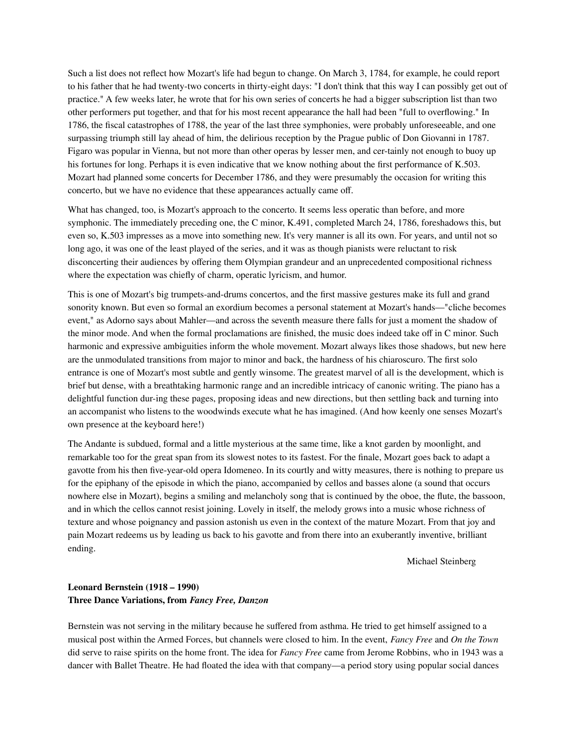Such a list does not reflect how Mozart's life had begun to change. On March 3, 1784, for example, he could report to his father that he had twenty-two concerts in thirty-eight days: "I don't think that this way I can possibly get out of practice." A few weeks later, he wrote that for his own series of concerts he had a bigger subscription list than two other performers put together, and that for his most recent appearance the hall had been "full to overflowing." In 1786, the fiscal catastrophes of 1788, the year of the last three symphonies, were probably unforeseeable, and one surpassing triumph still lay ahead of him, the delirious reception by the Prague public of Don Giovanni in 1787. Figaro was popular in Vienna, but not more than other operas by lesser men, and cer-tainly not enough to buoy up his fortunes for long. Perhaps it is even indicative that we know nothing about the first performance of K.503. Mozart had planned some concerts for December 1786, and they were presumably the occasion for writing this concerto, but we have no evidence that these appearances actually came off.

What has changed, too, is Mozart's approach to the concerto. It seems less operatic than before, and more symphonic. The immediately preceding one, the C minor, K.491, completed March 24, 1786, foreshadows this, but even so, K.503 impresses as a move into something new. It's very manner is all its own. For years, and until not so long ago, it was one of the least played of the series, and it was as though pianists were reluctant to risk disconcerting their audiences by offering them Olympian grandeur and an unprecedented compositional richness where the expectation was chiefly of charm, operatic lyricism, and humor.

This is one of Mozart's big trumpets-and-drums concertos, and the first massive gestures make its full and grand sonority known. But even so formal an exordium becomes a personal statement at Mozart's hands—"cliche becomes event," as Adorno says about Mahler—and across the seventh measure there falls for just a moment the shadow of the minor mode. And when the formal proclamations are finished, the music does indeed take off in C minor. Such harmonic and expressive ambiguities inform the whole movement. Mozart always likes those shadows, but new here are the unmodulated transitions from major to minor and back, the hardness of his chiaroscuro. The first solo entrance is one of Mozart's most subtle and gently winsome. The greatest marvel of all is the development, which is brief but dense, with a breathtaking harmonic range and an incredible intricacy of canonic writing. The piano has a delightful function dur-ing these pages, proposing ideas and new directions, but then settling back and turning into an accompanist who listens to the woodwinds execute what he has imagined. (And how keenly one senses Mozart's own presence at the keyboard here!)

The Andante is subdued, formal and a little mysterious at the same time, like a knot garden by moonlight, and remarkable too for the great span from its slowest notes to its fastest. For the finale, Mozart goes back to adapt a gavotte from his then five-year-old opera Idomeneo. In its courtly and witty measures, there is nothing to prepare us for the epiphany of the episode in which the piano, accompanied by cellos and basses alone (a sound that occurs nowhere else in Mozart), begins a smiling and melancholy song that is continued by the oboe, the flute, the bassoon, and in which the cellos cannot resist joining. Lovely in itself, the melody grows into a music whose richness of texture and whose poignancy and passion astonish us even in the context of the mature Mozart. From that joy and pain Mozart redeems us by leading us back to his gavotte and from there into an exuberantly inventive, brilliant ending.

Michael Steinberg

## **Leonard Bernstein (1918 – 1990) Three Dance Variations, from** *Fancy Free, Danzon*

Bernstein was not serving in the military because he suffered from asthma. He tried to get himself assigned to a musical post within the Armed Forces, but channels were closed to him. In the event, *Fancy Free* and *On the Town* did serve to raise spirits on the home front. The idea for *Fancy Free* came from Jerome Robbins, who in 1943 was a dancer with Ballet Theatre. He had floated the idea with that company—a period story using popular social dances